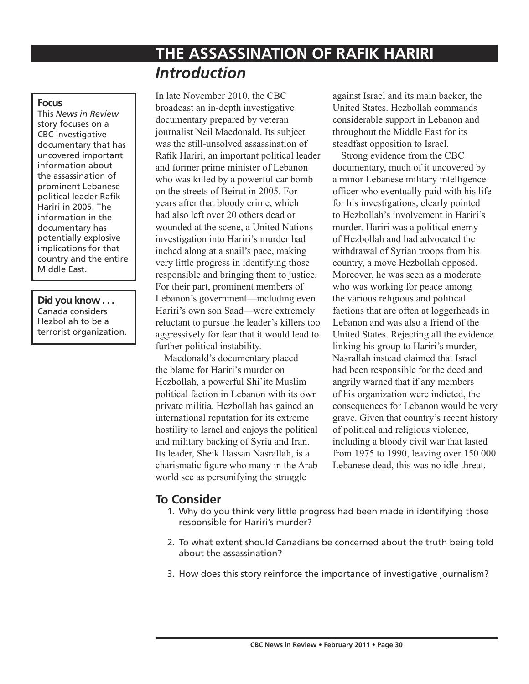# **THE ASSASSINATION OF RAFIK HARIRI** *Introduction*

#### **Focus**

This *News in Review* story focuses on a CBC investigative documentary that has uncovered important information about the assassination of prominent Lebanese political leader Rafik Hariri in 2005. The information in the documentary has potentially explosive implications for that country and the entire Middle East.

**Did you know . . .** Canada considers Hezbollah to be a terrorist organization. In late November 2010, the CBC broadcast an in-depth investigative documentary prepared by veteran journalist Neil Macdonald. Its subject was the still-unsolved assassination of Rafik Hariri, an important political leader and former prime minister of Lebanon who was killed by a powerful car bomb on the streets of Beirut in 2005. For years after that bloody crime, which had also left over 20 others dead or wounded at the scene, a United Nations investigation into Hariri's murder had inched along at a snail's pace, making very little progress in identifying those responsible and bringing them to justice. For their part, prominent members of Lebanon's government—including even Hariri's own son Saad—were extremely reluctant to pursue the leader's killers too aggressively for fear that it would lead to further political instability.

Macdonald's documentary placed the blame for Hariri's murder on Hezbollah, a powerful Shi'ite Muslim political faction in Lebanon with its own private militia. Hezbollah has gained an international reputation for its extreme hostility to Israel and enjoys the political and military backing of Syria and Iran. Its leader, Sheik Hassan Nasrallah, is a charismatic figure who many in the Arab world see as personifying the struggle

against Israel and its main backer, the United States. Hezbollah commands considerable support in Lebanon and throughout the Middle East for its steadfast opposition to Israel.

Strong evidence from the CBC documentary, much of it uncovered by a minor Lebanese military intelligence officer who eventually paid with his life for his investigations, clearly pointed to Hezbollah's involvement in Hariri's murder. Hariri was a political enemy of Hezbollah and had advocated the withdrawal of Syrian troops from his country, a move Hezbollah opposed. Moreover, he was seen as a moderate who was working for peace among the various religious and political factions that are often at loggerheads in Lebanon and was also a friend of the United States. Rejecting all the evidence linking his group to Hariri's murder, Nasrallah instead claimed that Israel had been responsible for the deed and angrily warned that if any members of his organization were indicted, the consequences for Lebanon would be very grave. Given that country's recent history of political and religious violence, including a bloody civil war that lasted from 1975 to 1990, leaving over 150 000 Lebanese dead, this was no idle threat.

## **To Consider**

- 1. Why do you think very little progress had been made in identifying those responsible for Hariri's murder?
- 2. To what extent should Canadians be concerned about the truth being told about the assassination?
- 3. How does this story reinforce the importance of investigative journalism?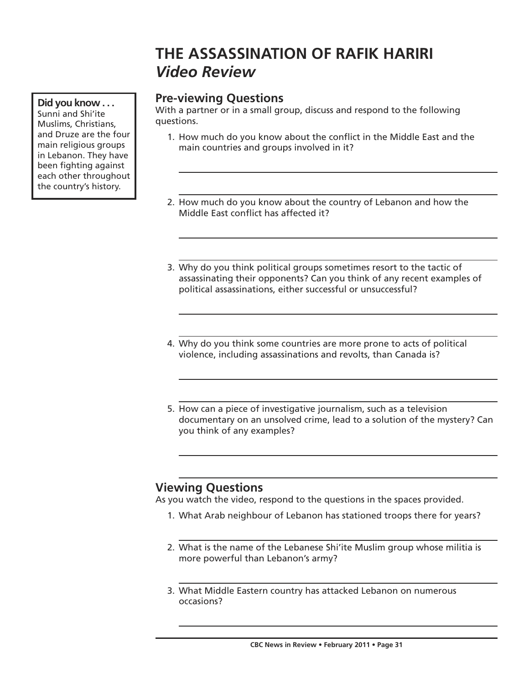# **THE ASSASSINATION OF RAFIK HARIRI** *Video Review*

# **Pre-viewing Questions**

With a partner or in a small group, discuss and respond to the following questions.

- 1. How much do you know about the conflict in the Middle East and the main countries and groups involved in it?
- 2. How much do you know about the country of Lebanon and how the Middle East conflict has affected it?
- 3. Why do you think political groups sometimes resort to the tactic of assassinating their opponents? Can you think of any recent examples of political assassinations, either successful or unsuccessful?
- 4. Why do you think some countries are more prone to acts of political violence, including assassinations and revolts, than Canada is?
- 5. How can a piece of investigative journalism, such as a television documentary on an unsolved crime, lead to a solution of the mystery? Can you think of any examples?

## **Viewing Questions**

As you watch the video, respond to the questions in the spaces provided.

- 1. What Arab neighbour of Lebanon has stationed troops there for years?
- 2. What is the name of the Lebanese Shi'ite Muslim group whose militia is more powerful than Lebanon's army?
- 3. What Middle Eastern country has attacked Lebanon on numerous occasions?

#### **Did you know . . .** Sunni and Shi'ite Muslims, Christians, and Druze are the four main religious groups in Lebanon. They have been fighting against

each other throughout the country's history.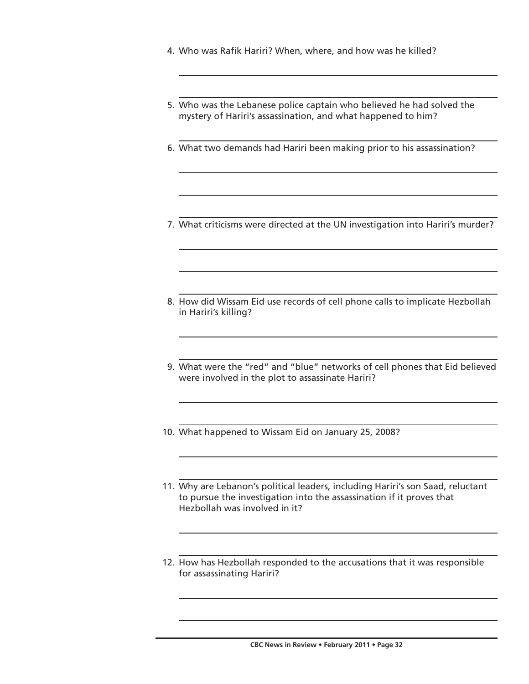- 4. Who was Rafik Hariri? When, where, and how was he killed?
- 5. Who was the Lebanese police captain who believed he had solved the mystery of Hariri's assassination, and what happened to him?
- 6. What two demands had Hariri been making prior to his assassination?
- 7. What criticisms were directed at the UN investigation into Hariri's murder?
- 8. How did Wissam Eid use records of cell phone calls to implicate Hezbollah in Hariri's killing?
- 9. What were the "red" and "blue" networks of cell phones that Eid believed were involved in the plot to assassinate Hariri?
- 10. What happened to Wissam Eid on January 25, 2008?
- 11. Why are Lebanon's political leaders, including Hariri's son Saad, reluctant to pursue the investigation into the assassination if it proves that Hezbollah was involved in it?
- 12. How has Hezbollah responded to the accusations that it was responsible for assassinating Hariri?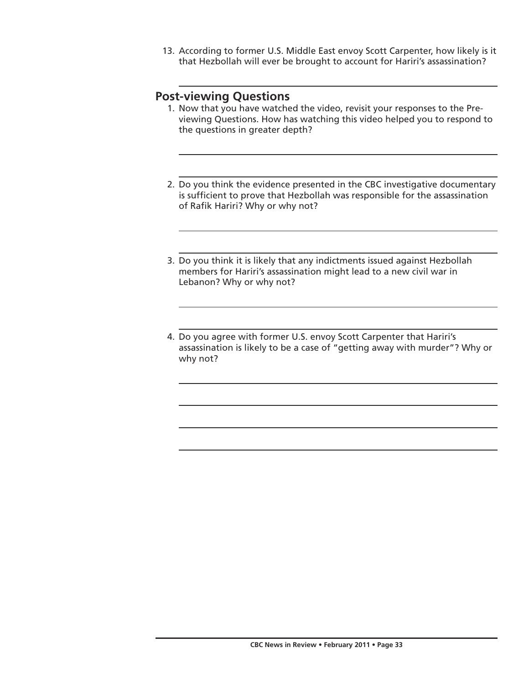13. According to former U.S. Middle East envoy Scott Carpenter, how likely is it that Hezbollah will ever be brought to account for Hariri's assassination?

### **Post-viewing Questions**

- 1. Now that you have watched the video, revisit your responses to the Previewing Questions. How has watching this video helped you to respond to the questions in greater depth?
- 2. Do you think the evidence presented in the CBC investigative documentary is sufficient to prove that Hezbollah was responsible for the assassination of Rafik Hariri? Why or why not?
- 3. Do you think it is likely that any indictments issued against Hezbollah members for Hariri's assassination might lead to a new civil war in Lebanon? Why or why not?
- 4. Do you agree with former U.S. envoy Scott Carpenter that Hariri's assassination is likely to be a case of "getting away with murder"? Why or why not?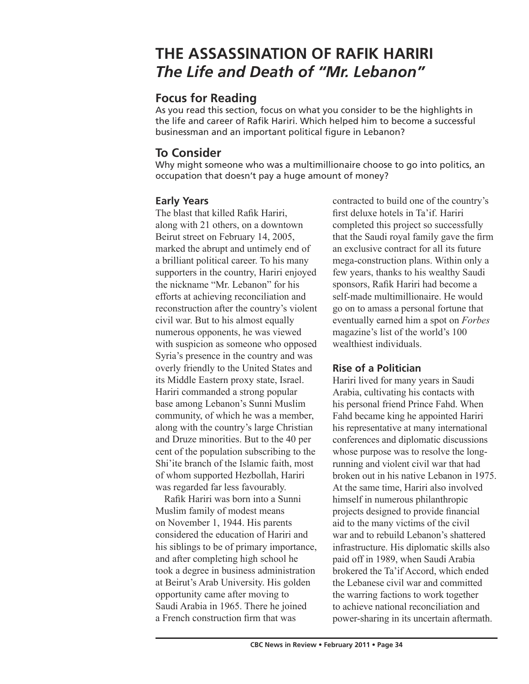# **THE ASSASSINATION OF RAFIK HARIRI** *The Life and Death of "Mr. Lebanon"*

# **Focus for Reading**

As you read this section, focus on what you consider to be the highlights in the life and career of Rafik Hariri. Which helped him to become a successful businessman and an important political figure in Lebanon?

# **To Consider**

Why might someone who was a multimillionaire choose to go into politics, an occupation that doesn't pay a huge amount of money?

## **Early Years**

The blast that killed Rafik Hariri, along with 21 others, on a downtown Beirut street on February 14, 2005, marked the abrupt and untimely end of a brilliant political career. To his many supporters in the country, Hariri enjoyed the nickname "Mr. Lebanon" for his efforts at achieving reconciliation and reconstruction after the country's violent civil war. But to his almost equally numerous opponents, he was viewed with suspicion as someone who opposed Syria's presence in the country and was overly friendly to the United States and its Middle Eastern proxy state, Israel. Hariri commanded a strong popular base among Lebanon's Sunni Muslim community, of which he was a member, along with the country's large Christian and Druze minorities. But to the 40 per cent of the population subscribing to the Shi'ite branch of the Islamic faith, most of whom supported Hezbollah, Hariri was regarded far less favourably.

Rafik Hariri was born into a Sunni Muslim family of modest means on November 1, 1944. His parents considered the education of Hariri and his siblings to be of primary importance, and after completing high school he took a degree in business administration at Beirut's Arab University. His golden opportunity came after moving to Saudi Arabia in 1965. There he joined a French construction firm that was

contracted to build one of the country's first deluxe hotels in Ta'if. Hariri completed this project so successfully that the Saudi royal family gave the firm an exclusive contract for all its future mega-construction plans. Within only a few years, thanks to his wealthy Saudi sponsors, Rafik Hariri had become a self-made multimillionaire. He would go on to amass a personal fortune that eventually earned him a spot on *Forbes* magazine's list of the world's 100 wealthiest individuals.

## **Rise of a Politician**

Hariri lived for many years in Saudi Arabia, cultivating his contacts with his personal friend Prince Fahd. When Fahd became king he appointed Hariri his representative at many international conferences and diplomatic discussions whose purpose was to resolve the longrunning and violent civil war that had broken out in his native Lebanon in 1975. At the same time, Hariri also involved himself in numerous philanthropic projects designed to provide financial aid to the many victims of the civil war and to rebuild Lebanon's shattered infrastructure. His diplomatic skills also paid off in 1989, when Saudi Arabia brokered the Ta'if Accord, which ended the Lebanese civil war and committed the warring factions to work together to achieve national reconciliation and power-sharing in its uncertain aftermath.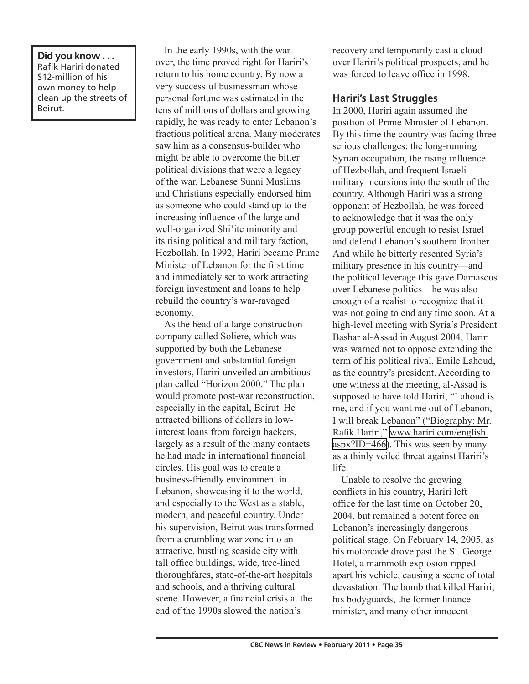**Did you know . . .** Rafik Hariri donated \$12-million of his own money to help clean up the streets of Beirut.

In the early 1990s, with the war over, the time proved right for Hariri's return to his home country. By now a very successful businessman whose personal fortune was estimated in the tens of millions of dollars and growing rapidly, he was ready to enter Lebanon's fractious political arena. Many moderates saw him as a consensus-builder who might be able to overcome the bitter political divisions that were a legacy of the war. Lebanese Sunni Muslims and Christians especially endorsed him as someone who could stand up to the increasing influence of the large and well-organized Shi'ite minority and its rising political and military faction, Hezbollah. In 1992, Hariri became Prime Minister of Lebanon for the first time and immediately set to work attracting foreign investment and loans to help rebuild the country's war-ravaged economy.

As the head of a large construction company called Soliere, which was supported by both the Lebanese government and substantial foreign investors, Hariri unveiled an ambitious plan called "Horizon 2000." The plan would promote post-war reconstruction, especially in the capital, Beirut. He attracted billions of dollars in lowinterest loans from foreign backers, largely as a result of the many contacts he had made in international financial circles. His goal was to create a business-friendly environment in Lebanon, showcasing it to the world, and especially to the West as a stable, modern, and peaceful country. Under his supervision, Beirut was transformed from a crumbling war zone into an attractive, bustling seaside city with tall office buildings, wide, tree-lined thoroughfares, state-of-the-art hospitals and schools, and a thriving cultural scene. However, a financial crisis at the end of the 1990s slowed the nation's

recovery and temporarily cast a cloud over Hariri's political prospects, and he was forced to leave office in 1998.

#### **Hariri's Last Struggles**

In 2000, Hariri again assumed the position of Prime Minister of Lebanon. By this time the country was facing three serious challenges: the long-running Syrian occupation, the rising influence of Hezbollah, and frequent Israeli military incursions into the south of the country. Although Hariri was a strong opponent of Hezbollah, he was forced to acknowledge that it was the only group powerful enough to resist Israel and defend Lebanon's southern frontier. And while he bitterly resented Syria's military presence in his country—and the political leverage this gave Damascus over Lebanese politics—he was also enough of a realist to recognize that it was not going to end any time soon. At a high-level meeting with Syria's President Bashar al-Assad in August 2004, Hariri was warned not to oppose extending the term of his political rival, Emile Lahoud, as the country's president. According to one witness at the meeting, al-Assad is supposed to have told Hariri, "Lahoud is me, and if you want me out of Lebanon, I will break Lebanon" ("Biography: Mr. Rafik Hariri," [www.hariri.com/english.](http://www.hariri.com/english.aspx?ID=466) [aspx?ID=466](http://www.hariri.com/english.aspx?ID=466)). This was seen by many as a thinly veiled threat against Hariri's life.

Unable to resolve the growing conflicts in his country, Hariri left office for the last time on October 20, 2004, but remained a potent force on Lebanon's increasingly dangerous political stage. On February 14, 2005, as his motorcade drove past the St. George Hotel, a mammoth explosion ripped apart his vehicle, causing a scene of total devastation. The bomb that killed Hariri, his bodyguards, the former finance minister, and many other innocent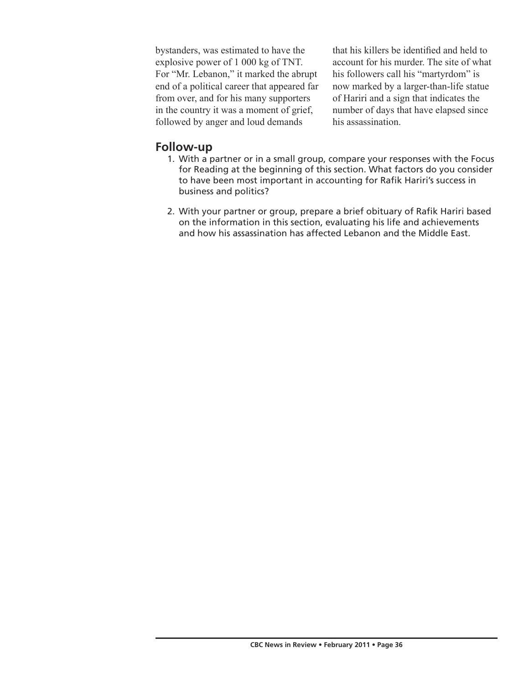bystanders, was estimated to have the explosive power of 1 000 kg of TNT. For "Mr. Lebanon," it marked the abrupt end of a political career that appeared far from over, and for his many supporters in the country it was a moment of grief, followed by anger and loud demands

that his killers be identified and held to account for his murder. The site of what his followers call his "martyrdom" is now marked by a larger-than-life statue of Hariri and a sign that indicates the number of days that have elapsed since his assassination.

## **Follow-up**

- 1. With a partner or in a small group, compare your responses with the Focus for Reading at the beginning of this section. What factors do you consider to have been most important in accounting for Rafik Hariri's success in business and politics?
- 2. With your partner or group, prepare a brief obituary of Rafik Hariri based on the information in this section, evaluating his life and achievements and how his assassination has affected Lebanon and the Middle East.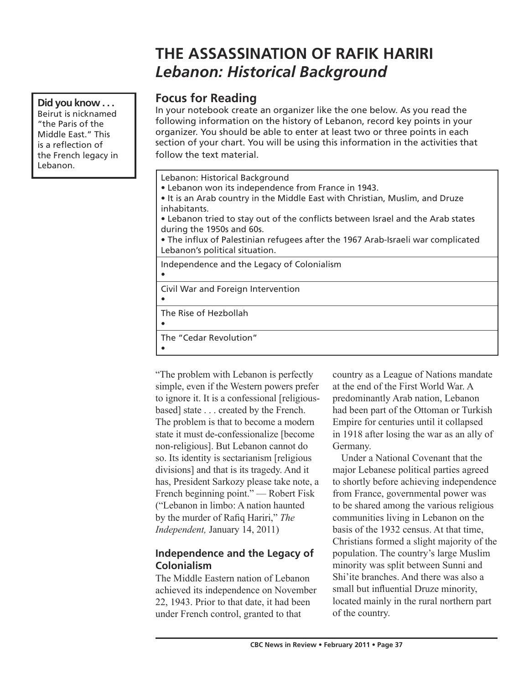# **THE ASSASSINATION OF RAFIK HARIRI** *Lebanon: Historical Background*

# **Focus for Reading**

In your notebook create an organizer like the one below. As you read the following information on the history of Lebanon, record key points in your organizer. You should be able to enter at least two or three points in each section of your chart. You will be using this information in the activities that follow the text material.

- It is an Arab country in the Middle East with Christian, Muslim, and Druze inhabitants.
- Lebanon tried to stay out of the conflicts between Israel and the Arab states
- The influx of Palestinian refugees after the 1967 Arab-Israeli war complicated Lebanon's political situation.

Independence and the Legacy of Colonialism

Civil War and Foreign Intervention

The Rise of Hezbollah

The "Cedar Revolution"

•

•

•

•

"The problem with Lebanon is perfectly simple, even if the Western powers prefer to ignore it. It is a confessional [religiousbased] state . . . created by the French. The problem is that to become a modern state it must de-confessionalize [become non-religious]. But Lebanon cannot do so. Its identity is sectarianism [religious divisions] and that is its tragedy. And it has, President Sarkozy please take note, a French beginning point." — Robert Fisk ("Lebanon in limbo: A nation haunted by the murder of Rafiq Hariri," *The Independent,* January 14, 2011)

### **Independence and the Legacy of Colonialism**

The Middle Eastern nation of Lebanon achieved its independence on November 22, 1943. Prior to that date, it had been under French control, granted to that

country as a League of Nations mandate at the end of the First World War. A predominantly Arab nation, Lebanon had been part of the Ottoman or Turkish Empire for centuries until it collapsed in 1918 after losing the war as an ally of Germany.

Under a National Covenant that the major Lebanese political parties agreed to shortly before achieving independence from France, governmental power was to be shared among the various religious communities living in Lebanon on the basis of the 1932 census. At that time, Christians formed a slight majority of the population. The country's large Muslim minority was split between Sunni and Shi'ite branches. And there was also a small but influential Druze minority, located mainly in the rural northern part of the country.

Lebanon: Historical Background • Lebanon won its independence from France in 1943. during the 1950s and 60s.

#### **Did you know . . .** Beirut is nicknamed "the Paris of the Middle East." This

is a reflection of the French legacy in

Lebanon.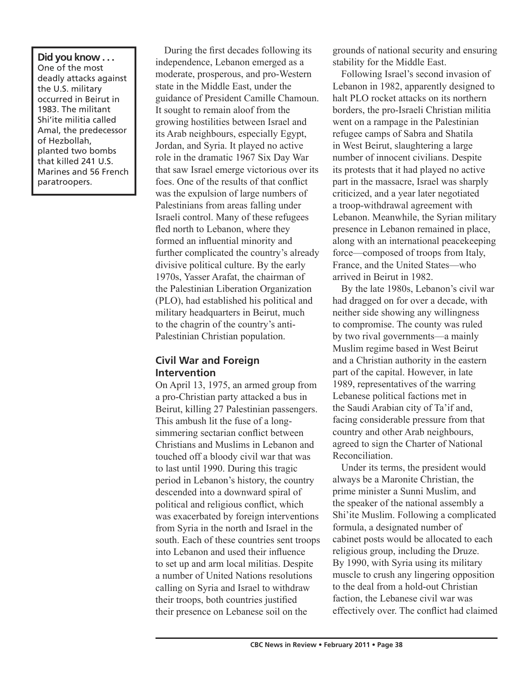**Did you know . . .** One of the most deadly attacks against the U.S. military occurred in Beirut in 1983. The militant Shi'ite militia called Amal, the predecessor of Hezbollah, planted two bombs that killed 241 U.S. Marines and 56 French paratroopers.

During the first decades following its independence, Lebanon emerged as a moderate, prosperous, and pro-Western state in the Middle East, under the guidance of President Camille Chamoun. It sought to remain aloof from the growing hostilities between Israel and its Arab neighbours, especially Egypt, Jordan, and Syria. It played no active role in the dramatic 1967 Six Day War that saw Israel emerge victorious over its foes. One of the results of that conflict was the expulsion of large numbers of Palestinians from areas falling under Israeli control. Many of these refugees fled north to Lebanon, where they formed an influential minority and further complicated the country's already divisive political culture. By the early 1970s, Yasser Arafat, the chairman of the Palestinian Liberation Organization (PLO), had established his political and military headquarters in Beirut, much to the chagrin of the country's anti-Palestinian Christian population.

### **Civil War and Foreign Intervention**

On April 13, 1975, an armed group from a pro-Christian party attacked a bus in Beirut, killing 27 Palestinian passengers. This ambush lit the fuse of a longsimmering sectarian conflict between Christians and Muslims in Lebanon and touched off a bloody civil war that was to last until 1990. During this tragic period in Lebanon's history, the country descended into a downward spiral of political and religious conflict, which was exacerbated by foreign interventions from Syria in the north and Israel in the south. Each of these countries sent troops into Lebanon and used their influence to set up and arm local militias. Despite a number of United Nations resolutions calling on Syria and Israel to withdraw their troops, both countries justified their presence on Lebanese soil on the

grounds of national security and ensuring stability for the Middle East.

Following Israel's second invasion of Lebanon in 1982, apparently designed to halt PLO rocket attacks on its northern borders, the pro-Israeli Christian militia went on a rampage in the Palestinian refugee camps of Sabra and Shatila in West Beirut, slaughtering a large number of innocent civilians. Despite its protests that it had played no active part in the massacre, Israel was sharply criticized, and a year later negotiated a troop-withdrawal agreement with Lebanon. Meanwhile, the Syrian military presence in Lebanon remained in place, along with an international peacekeeping force—composed of troops from Italy, France, and the United States—who arrived in Beirut in 1982.

By the late 1980s, Lebanon's civil war had dragged on for over a decade, with neither side showing any willingness to compromise. The county was ruled by two rival governments—a mainly Muslim regime based in West Beirut and a Christian authority in the eastern part of the capital. However, in late 1989, representatives of the warring Lebanese political factions met in the Saudi Arabian city of Ta'if and, facing considerable pressure from that country and other Arab neighbours, agreed to sign the Charter of National Reconciliation.

Under its terms, the president would always be a Maronite Christian, the prime minister a Sunni Muslim, and the speaker of the national assembly a Shi'ite Muslim. Following a complicated formula, a designated number of cabinet posts would be allocated to each religious group, including the Druze. By 1990, with Syria using its military muscle to crush any lingering opposition to the deal from a hold-out Christian faction, the Lebanese civil war was effectively over. The conflict had claimed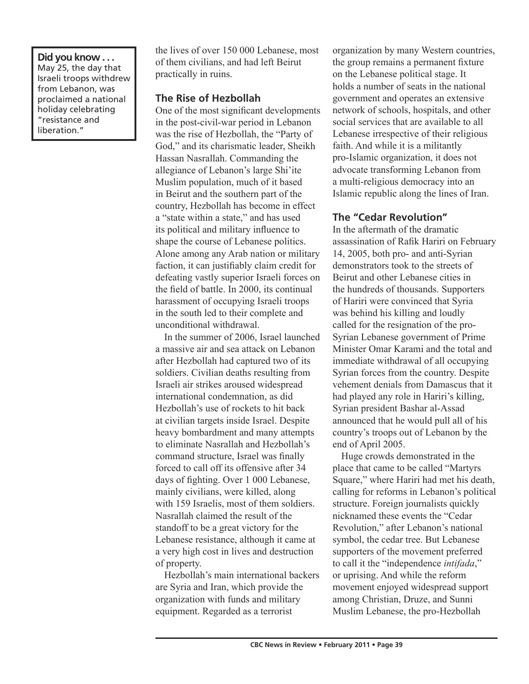#### **Did you know . . .** May 25, the day that Israeli troops withdrew from Lebanon, was proclaimed a national holiday celebrating "resistance and liberation."

the lives of over 150 000 Lebanese, most of them civilians, and had left Beirut practically in ruins.

### **The Rise of Hezbollah**

One of the most significant developments in the post-civil-war period in Lebanon was the rise of Hezbollah, the "Party of God," and its charismatic leader, Sheikh Hassan Nasrallah. Commanding the allegiance of Lebanon's large Shi'ite Muslim population, much of it based in Beirut and the southern part of the country, Hezbollah has become in effect a "state within a state," and has used its political and military influence to shape the course of Lebanese politics. Alone among any Arab nation or military faction, it can justifiably claim credit for defeating vastly superior Israeli forces on the field of battle. In 2000, its continual harassment of occupying Israeli troops in the south led to their complete and unconditional withdrawal.

In the summer of 2006, Israel launched a massive air and sea attack on Lebanon after Hezbollah had captured two of its soldiers. Civilian deaths resulting from Israeli air strikes aroused widespread international condemnation, as did Hezbollah's use of rockets to hit back at civilian targets inside Israel. Despite heavy bombardment and many attempts to eliminate Nasrallah and Hezbollah's command structure, Israel was finally forced to call off its offensive after 34 days of fighting. Over 1 000 Lebanese, mainly civilians, were killed, along with 159 Israelis, most of them soldiers. Nasrallah claimed the result of the standoff to be a great victory for the Lebanese resistance, although it came at a very high cost in lives and destruction of property.

Hezbollah's main international backers are Syria and Iran, which provide the organization with funds and military equipment. Regarded as a terrorist

organization by many Western countries, the group remains a permanent fixture on the Lebanese political stage. It holds a number of seats in the national government and operates an extensive network of schools, hospitals, and other social services that are available to all Lebanese irrespective of their religious faith. And while it is a militantly pro-Islamic organization, it does not advocate transforming Lebanon from a multi-religious democracy into an Islamic republic along the lines of Iran.

#### **The "Cedar Revolution"**

In the aftermath of the dramatic assassination of Rafik Hariri on February 14, 2005, both pro- and anti-Syrian demonstrators took to the streets of Beirut and other Lebanese cities in the hundreds of thousands. Supporters of Hariri were convinced that Syria was behind his killing and loudly called for the resignation of the pro-Syrian Lebanese government of Prime Minister Omar Karami and the total and immediate withdrawal of all occupying Syrian forces from the country. Despite vehement denials from Damascus that it had played any role in Hariri's killing, Syrian president Bashar al-Assad announced that he would pull all of his country's troops out of Lebanon by the end of April 2005.

Huge crowds demonstrated in the place that came to be called "Martyrs Square," where Hariri had met his death, calling for reforms in Lebanon's political structure. Foreign journalists quickly nicknamed these events the "Cedar Revolution," after Lebanon's national symbol, the cedar tree. But Lebanese supporters of the movement preferred to call it the "independence *intifada*," or uprising. And while the reform movement enjoyed widespread support among Christian, Druze, and Sunni Muslim Lebanese, the pro-Hezbollah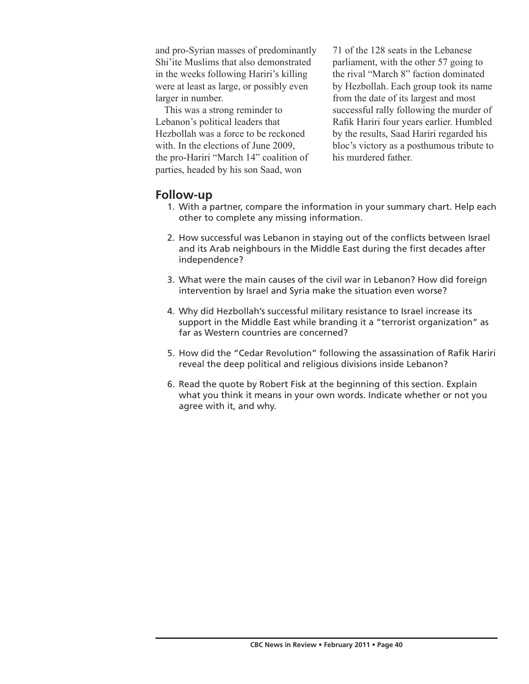and pro-Syrian masses of predominantly Shi'ite Muslims that also demonstrated in the weeks following Hariri's killing were at least as large, or possibly even larger in number.

This was a strong reminder to Lebanon's political leaders that Hezbollah was a force to be reckoned with. In the elections of June 2009, the pro-Hariri "March 14" coalition of parties, headed by his son Saad, won

71 of the 128 seats in the Lebanese parliament, with the other 57 going to the rival "March 8" faction dominated by Hezbollah. Each group took its name from the date of its largest and most successful rally following the murder of Rafik Hariri four years earlier. Humbled by the results, Saad Hariri regarded his bloc's victory as a posthumous tribute to his murdered father.

### **Follow-up**

- 1. With a partner, compare the information in your summary chart. Help each other to complete any missing information.
- 2. How successful was Lebanon in staying out of the conflicts between Israel and its Arab neighbours in the Middle East during the first decades after independence?
- 3. What were the main causes of the civil war in Lebanon? How did foreign intervention by Israel and Syria make the situation even worse?
- 4. Why did Hezbollah's successful military resistance to Israel increase its support in the Middle East while branding it a "terrorist organization" as far as Western countries are concerned?
- 5. How did the "Cedar Revolution" following the assassination of Rafik Hariri reveal the deep political and religious divisions inside Lebanon?
- 6. Read the quote by Robert Fisk at the beginning of this section. Explain what you think it means in your own words. Indicate whether or not you agree with it, and why.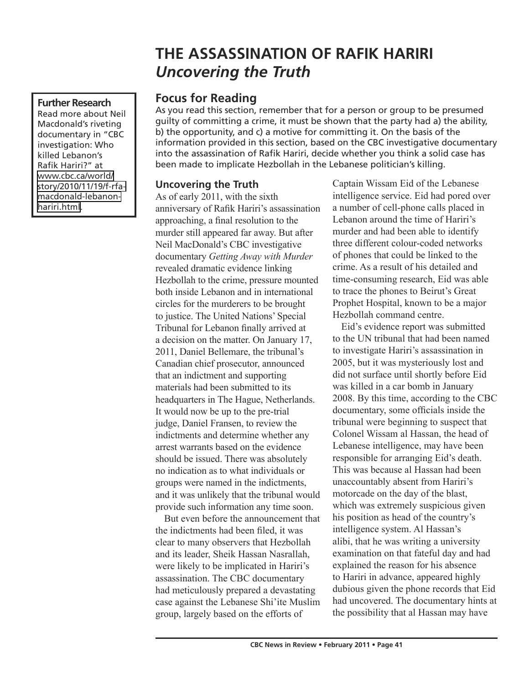# **THE ASSASSINATION OF RAFIK HARIRI** *Uncovering the Truth*

#### **Further Research**

Read more about Neil Macdonald's riveting documentary in "CBC investigation: Who killed Lebanon's Rafik Hariri?" at [www.cbc.ca/world/](http://www.cbc.ca/world/story/2010/11/19/f-rfa-macdonald-lebanon-hariri.html) [story/2010/11/19/f-rfa](http://www.cbc.ca/world/story/2010/11/19/f-rfa-macdonald-lebanon-hariri.html)[macdonald-lebanon](http://www.cbc.ca/world/story/2010/11/19/f-rfa-macdonald-lebanon-hariri.html)hariri.html

## **Focus for Reading**

As you read this section, remember that for a person or group to be presumed guilty of committing a crime, it must be shown that the party had a) the ability, b) the opportunity, and c) a motive for committing it. On the basis of the information provided in this section, based on the CBC investigative documentary into the assassination of Rafik Hariri, decide whether you think a solid case has been made to implicate Hezbollah in the Lebanese politician's killing.

### **Uncovering the Truth**

As of early 2011, with the sixth anniversary of Rafik Hariri's assassination approaching, a final resolution to the murder still appeared far away. But after Neil MacDonald's CBC investigative documentary *Getting Away with Murder* revealed dramatic evidence linking Hezbollah to the crime, pressure mounted both inside Lebanon and in international circles for the murderers to be brought to justice. The United Nations' Special Tribunal for Lebanon finally arrived at a decision on the matter. On January 17, 2011, Daniel Bellemare, the tribunal's Canadian chief prosecutor, announced that an indictment and supporting materials had been submitted to its headquarters in The Hague, Netherlands. It would now be up to the pre-trial judge, Daniel Fransen, to review the indictments and determine whether any arrest warrants based on the evidence should be issued. There was absolutely no indication as to what individuals or groups were named in the indictments, and it was unlikely that the tribunal would provide such information any time soon.

But even before the announcement that the indictments had been filed, it was clear to many observers that Hezbollah and its leader, Sheik Hassan Nasrallah, were likely to be implicated in Hariri's assassination. The CBC documentary had meticulously prepared a devastating case against the Lebanese Shi'ite Muslim group, largely based on the efforts of

Captain Wissam Eid of the Lebanese intelligence service. Eid had pored over a number of cell-phone calls placed in Lebanon around the time of Hariri's murder and had been able to identify three different colour-coded networks of phones that could be linked to the crime. As a result of his detailed and time-consuming research, Eid was able to trace the phones to Beirut's Great Prophet Hospital, known to be a major Hezbollah command centre.

Eid's evidence report was submitted to the UN tribunal that had been named to investigate Hariri's assassination in 2005, but it was mysteriously lost and did not surface until shortly before Eid was killed in a car bomb in January 2008. By this time, according to the CBC documentary, some officials inside the tribunal were beginning to suspect that Colonel Wissam al Hassan, the head of Lebanese intelligence, may have been responsible for arranging Eid's death. This was because al Hassan had been unaccountably absent from Hariri's motorcade on the day of the blast, which was extremely suspicious given his position as head of the country's intelligence system. Al Hassan's alibi, that he was writing a university examination on that fateful day and had explained the reason for his absence to Hariri in advance, appeared highly dubious given the phone records that Eid had uncovered. The documentary hints at the possibility that al Hassan may have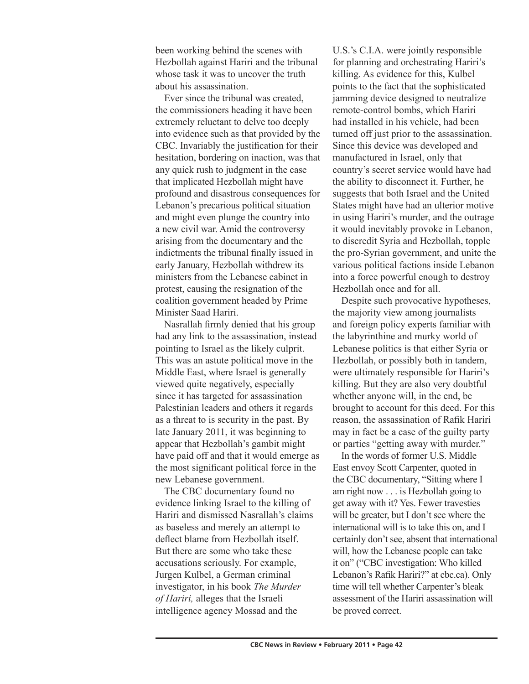been working behind the scenes with Hezbollah against Hariri and the tribunal whose task it was to uncover the truth about his assassination.

Ever since the tribunal was created, the commissioners heading it have been extremely reluctant to delve too deeply into evidence such as that provided by the CBC. Invariably the justification for their hesitation, bordering on inaction, was that any quick rush to judgment in the case that implicated Hezbollah might have profound and disastrous consequences for Lebanon's precarious political situation and might even plunge the country into a new civil war. Amid the controversy arising from the documentary and the indictments the tribunal finally issued in early January, Hezbollah withdrew its ministers from the Lebanese cabinet in protest, causing the resignation of the coalition government headed by Prime Minister Saad Hariri.

Nasrallah firmly denied that his group had any link to the assassination, instead pointing to Israel as the likely culprit. This was an astute political move in the Middle East, where Israel is generally viewed quite negatively, especially since it has targeted for assassination Palestinian leaders and others it regards as a threat to is security in the past. By late January 2011, it was beginning to appear that Hezbollah's gambit might have paid off and that it would emerge as the most significant political force in the new Lebanese government.

The CBC documentary found no evidence linking Israel to the killing of Hariri and dismissed Nasrallah's claims as baseless and merely an attempt to deflect blame from Hezbollah itself. But there are some who take these accusations seriously. For example, Jurgen Kulbel, a German criminal investigator, in his book *The Murder of Hariri,* alleges that the Israeli intelligence agency Mossad and the

U.S.'s C.I.A. were jointly responsible for planning and orchestrating Hariri's killing. As evidence for this, Kulbel points to the fact that the sophisticated jamming device designed to neutralize remote-control bombs, which Hariri had installed in his vehicle, had been turned off just prior to the assassination. Since this device was developed and manufactured in Israel, only that country's secret service would have had the ability to disconnect it. Further, he suggests that both Israel and the United States might have had an ulterior motive in using Hariri's murder, and the outrage it would inevitably provoke in Lebanon, to discredit Syria and Hezbollah, topple the pro-Syrian government, and unite the various political factions inside Lebanon into a force powerful enough to destroy Hezbollah once and for all.

Despite such provocative hypotheses, the majority view among journalists and foreign policy experts familiar with the labyrinthine and murky world of Lebanese politics is that either Syria or Hezbollah, or possibly both in tandem, were ultimately responsible for Hariri's killing. But they are also very doubtful whether anyone will, in the end, be brought to account for this deed. For this reason, the assassination of Rafik Hariri may in fact be a case of the guilty party or parties "getting away with murder."

In the words of former U.S. Middle East envoy Scott Carpenter, quoted in the CBC documentary, "Sitting where I am right now . . . is Hezbollah going to get away with it? Yes. Fewer travesties will be greater, but I don't see where the international will is to take this on, and I certainly don't see, absent that international will, how the Lebanese people can take it on" ("CBC investigation: Who killed Lebanon's Rafik Hariri?" at cbc.ca). Only time will tell whether Carpenter's bleak assessment of the Hariri assassination will be proved correct.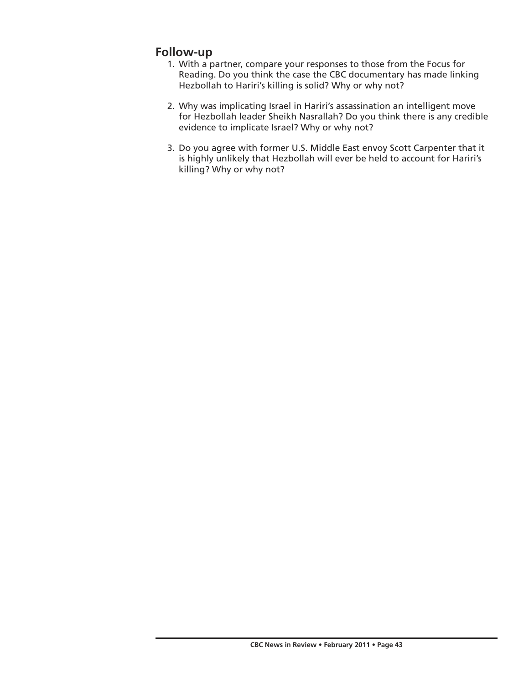# **Follow-up**

- 1. With a partner, compare your responses to those from the Focus for Reading. Do you think the case the CBC documentary has made linking Hezbollah to Hariri's killing is solid? Why or why not?
- 2. Why was implicating Israel in Hariri's assassination an intelligent move for Hezbollah leader Sheikh Nasrallah? Do you think there is any credible evidence to implicate Israel? Why or why not?
- 3. Do you agree with former U.S. Middle East envoy Scott Carpenter that it is highly unlikely that Hezbollah will ever be held to account for Hariri's killing? Why or why not?